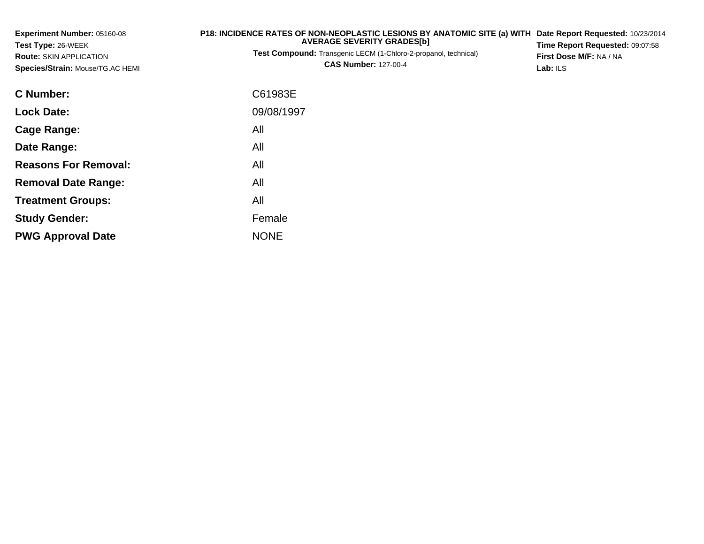| Experiment Number: 05160-08<br>Test Type: 26-WEEK<br><b>Route: SKIN APPLICATION</b><br>Species/Strain: Mouse/TG.AC HEMI | P18: INCIDENCE RATES OF NON-NEOPLASTIC LESIONS BY ANATOMIC SITE (a) WITH<br><b>AVERAGE SEVERITY GRADES[b]</b><br><b>Test Compound:</b> Transgenic LECM (1-Chloro-2-propanol, technical)<br><b>CAS Number: 127-00-4</b> | Date Report Requested: 10/23/2014<br>Time Report Requested: 09:07:58<br>First Dose M/F: NA / NA<br>Lab: ILS |
|-------------------------------------------------------------------------------------------------------------------------|------------------------------------------------------------------------------------------------------------------------------------------------------------------------------------------------------------------------|-------------------------------------------------------------------------------------------------------------|
| <b>C</b> Number:                                                                                                        | C61983E                                                                                                                                                                                                                |                                                                                                             |
| <b>Lock Date:</b>                                                                                                       | 09/08/1997                                                                                                                                                                                                             |                                                                                                             |
| <b>Cage Range:</b>                                                                                                      | All                                                                                                                                                                                                                    |                                                                                                             |
| Date Range:                                                                                                             | All                                                                                                                                                                                                                    |                                                                                                             |
| <b>Reasons For Removal:</b>                                                                                             | All                                                                                                                                                                                                                    |                                                                                                             |
| <b>Removal Date Range:</b>                                                                                              | All                                                                                                                                                                                                                    |                                                                                                             |
| <b>Treatment Groups:</b>                                                                                                | All                                                                                                                                                                                                                    |                                                                                                             |
| <b>Study Gender:</b>                                                                                                    | Female                                                                                                                                                                                                                 |                                                                                                             |
| <b>PWG Approval Date</b>                                                                                                | <b>NONE</b>                                                                                                                                                                                                            |                                                                                                             |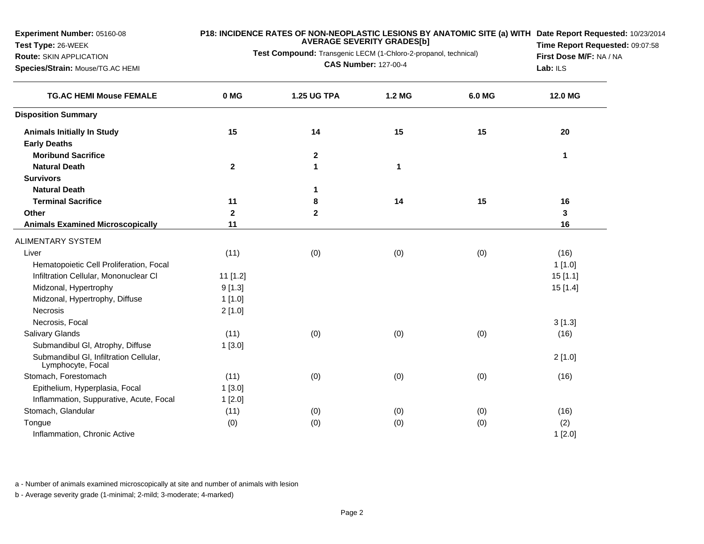**Experiment Number:** 05160-08

**Test Type:** 26-WEEK

## **Route:** SKIN APPLICATION

**Species/Strain:** Mouse/TG.AC HEMI

## **P18: INCIDENCE RATES OF NON-NEOPLASTIC LESIONS BY ANATOMIC SITE (a) WITH AVERAGE SEVERITY GRADES[b] Date Report Requested:** 10/23/2014

**Test Compound:** Transgenic LECM (1-Chloro-2-propanol, technical)**CAS Number:** 127-00-4

**Time Report Requested:** 09:07:58**First Dose M/F:** NA / NA**Lab:** ILS

| <b>TG.AC HEMI Mouse FEMALE</b>                              | 0 MG         | <b>1.25 UG TPA</b> | <b>1.2 MG</b> | 6.0 MG | 12.0 MG  |
|-------------------------------------------------------------|--------------|--------------------|---------------|--------|----------|
| <b>Disposition Summary</b>                                  |              |                    |               |        |          |
| <b>Animals Initially In Study</b>                           | 15           | 14                 | 15            | 15     | 20       |
| <b>Early Deaths</b>                                         |              |                    |               |        |          |
| <b>Moribund Sacrifice</b>                                   |              | $\mathbf 2$        |               |        | 1        |
| <b>Natural Death</b>                                        | $\mathbf{2}$ | $\mathbf 1$        | 1             |        |          |
| <b>Survivors</b>                                            |              |                    |               |        |          |
| <b>Natural Death</b>                                        |              | 1                  |               |        |          |
| <b>Terminal Sacrifice</b>                                   | 11           | 8                  | 14            | 15     | 16       |
| Other                                                       | $\mathbf{2}$ | $\mathbf 2$        |               |        | 3        |
| <b>Animals Examined Microscopically</b>                     | 11           |                    |               |        | 16       |
| <b>ALIMENTARY SYSTEM</b>                                    |              |                    |               |        |          |
| Liver                                                       | (11)         | (0)                | (0)           | (0)    | (16)     |
| Hematopoietic Cell Proliferation, Focal                     |              |                    |               |        | 1[1.0]   |
| Infiltration Cellular, Mononuclear CI                       | 11 [1.2]     |                    |               |        | 15[1.1]  |
| Midzonal, Hypertrophy                                       | 9[1.3]       |                    |               |        | 15 [1.4] |
| Midzonal, Hypertrophy, Diffuse                              | 1[1.0]       |                    |               |        |          |
| <b>Necrosis</b>                                             | 2[1.0]       |                    |               |        |          |
| Necrosis, Focal                                             |              |                    |               |        | 3[1.3]   |
| <b>Salivary Glands</b>                                      | (11)         | (0)                | (0)           | (0)    | (16)     |
| Submandibul GI, Atrophy, Diffuse                            | 1[3.0]       |                    |               |        |          |
| Submandibul GI, Infiltration Cellular,<br>Lymphocyte, Focal |              |                    |               |        | 2[1.0]   |
| Stomach, Forestomach                                        | (11)         | (0)                | (0)           | (0)    | (16)     |
| Epithelium, Hyperplasia, Focal                              | 1[3.0]       |                    |               |        |          |
| Inflammation, Suppurative, Acute, Focal                     | 1[2.0]       |                    |               |        |          |
| Stomach, Glandular                                          | (11)         | (0)                | (0)           | (0)    | (16)     |
| Tongue                                                      | (0)          | (0)                | (0)           | (0)    | (2)      |
| Inflammation, Chronic Active                                |              |                    |               |        | 1[2.0]   |

a - Number of animals examined microscopically at site and number of animals with lesion

b - Average severity grade (1-minimal; 2-mild; 3-moderate; 4-marked)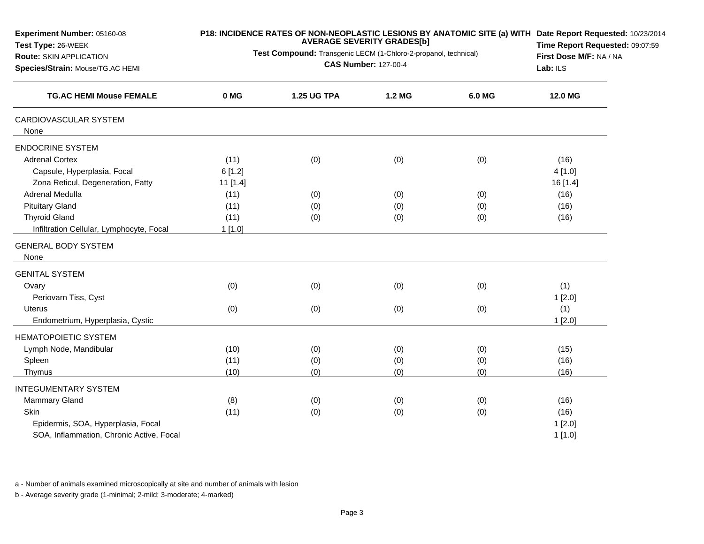| Experiment Number: 05160-08<br>Test Type: 26-WEEK<br><b>Route: SKIN APPLICATION</b>       | Test Compound: Transgenic LECM (1-Chloro-2-propanol, technical) | P18: INCIDENCE RATES OF NON-NEOPLASTIC LESIONS BY ANATOMIC SITE (a) WITH Date Report Requested: 10/23/2014<br>Time Report Requested: 09:07:59<br>First Dose M/F: NA / NA<br>Lab: ILS |        |        |                            |
|-------------------------------------------------------------------------------------------|-----------------------------------------------------------------|--------------------------------------------------------------------------------------------------------------------------------------------------------------------------------------|--------|--------|----------------------------|
| Species/Strain: Mouse/TG.AC HEMI<br><b>TG.AC HEMI Mouse FEMALE</b>                        |                                                                 |                                                                                                                                                                                      |        |        |                            |
|                                                                                           | 0 MG                                                            | <b>1.25 UG TPA</b>                                                                                                                                                                   | 1.2 MG | 6.0 MG | 12.0 MG                    |
| CARDIOVASCULAR SYSTEM<br>None                                                             |                                                                 |                                                                                                                                                                                      |        |        |                            |
| <b>ENDOCRINE SYSTEM</b>                                                                   |                                                                 |                                                                                                                                                                                      |        |        |                            |
| <b>Adrenal Cortex</b><br>Capsule, Hyperplasia, Focal<br>Zona Reticul, Degeneration, Fatty | (11)<br>6[1.2]<br>11 [1.4]                                      | (0)                                                                                                                                                                                  | (0)    | (0)    | (16)<br>4[1.0]<br>16 [1.4] |
| Adrenal Medulla                                                                           | (11)                                                            | (0)                                                                                                                                                                                  | (0)    | (0)    | (16)                       |
| <b>Pituitary Gland</b>                                                                    | (11)                                                            | (0)                                                                                                                                                                                  | (0)    | (0)    | (16)                       |
| <b>Thyroid Gland</b>                                                                      | (11)                                                            | (0)                                                                                                                                                                                  | (0)    | (0)    | (16)                       |
| Infiltration Cellular, Lymphocyte, Focal                                                  | 1[1.0]                                                          |                                                                                                                                                                                      |        |        |                            |
| <b>GENERAL BODY SYSTEM</b><br>None                                                        |                                                                 |                                                                                                                                                                                      |        |        |                            |
| <b>GENITAL SYSTEM</b>                                                                     |                                                                 |                                                                                                                                                                                      |        |        |                            |
| Ovary<br>Periovarn Tiss, Cyst                                                             | (0)                                                             | (0)                                                                                                                                                                                  | (0)    | (0)    | (1)<br>1[2.0]              |
| <b>Uterus</b><br>Endometrium, Hyperplasia, Cystic                                         | (0)                                                             | (0)                                                                                                                                                                                  | (0)    | (0)    | (1)<br>1[2.0]              |
| <b>HEMATOPOIETIC SYSTEM</b>                                                               |                                                                 |                                                                                                                                                                                      |        |        |                            |
| Lymph Node, Mandibular                                                                    | (10)                                                            | (0)                                                                                                                                                                                  | (0)    | (0)    | (15)                       |
| Spleen                                                                                    | (11)                                                            | (0)                                                                                                                                                                                  | (0)    | (0)    | (16)                       |
| Thymus                                                                                    | (10)                                                            | (0)                                                                                                                                                                                  | (0)    | (0)    | (16)                       |
| <b>INTEGUMENTARY SYSTEM</b>                                                               |                                                                 |                                                                                                                                                                                      |        |        |                            |
| Mammary Gland                                                                             | (8)                                                             | (0)                                                                                                                                                                                  | (0)    | (0)    | (16)                       |
| Skin                                                                                      | (11)                                                            | (0)                                                                                                                                                                                  | (0)    | (0)    | (16)                       |
| Epidermis, SOA, Hyperplasia, Focal                                                        |                                                                 |                                                                                                                                                                                      |        |        | 1[2.0]                     |
| SOA, Inflammation, Chronic Active, Focal                                                  |                                                                 |                                                                                                                                                                                      |        |        | 1[1.0]                     |

a - Number of animals examined microscopically at site and number of animals with lesion

b - Average severity grade (1-minimal; 2-mild; 3-moderate; 4-marked)